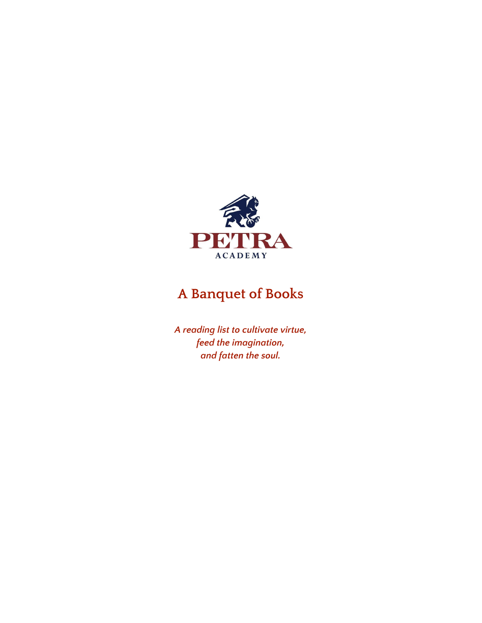

# **A Banquet of Books**

*A reading list to cultivate virtue, feed the imagination, and fatten the soul.*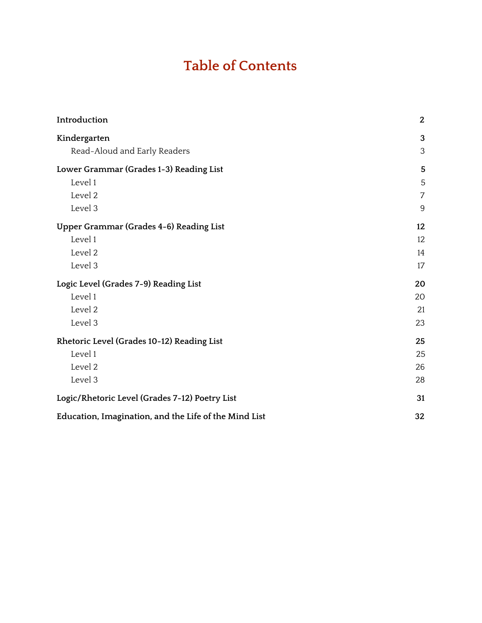# **Table of Contents**

| Introduction                                          | 2              |
|-------------------------------------------------------|----------------|
| Kindergarten                                          | 3              |
| Read-Aloud and Early Readers                          | 3              |
| Lower Grammar (Grades 1-3) Reading List               | 5              |
| Level 1                                               | 5              |
| Level 2                                               | $\overline{7}$ |
| Level 3                                               | 9              |
| Upper Grammar (Grades 4-6) Reading List               | 12             |
| Level 1                                               | 12             |
| Level 2                                               | 14             |
| Level 3                                               | 17             |
| Logic Level (Grades 7-9) Reading List                 | 20             |
| Level 1                                               | 20             |
| Level 2                                               | 21             |
| Level 3                                               | 23             |
| Rhetoric Level (Grades 10-12) Reading List            | 25             |
| Level 1                                               | 25             |
| Level 2                                               | 26             |
| Level 3                                               | 28             |
| Logic/Rhetoric Level (Grades 7-12) Poetry List        | 31             |
| Education, Imagination, and the Life of the Mind List | 32             |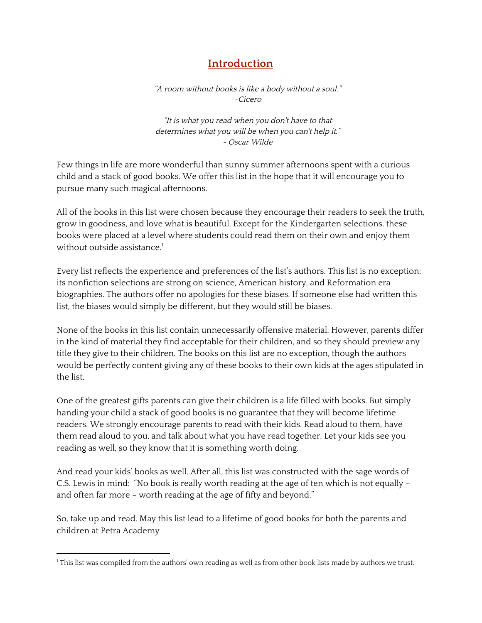# **Introduction**

<span id="page-2-0"></span>"A room without books is like <sup>a</sup> body without <sup>a</sup> soul." ~Cicero

"It is what you read when you don't have to that determines what you will be when you can't help it." ~ Oscar Wilde

Few things in life are more wonderful than sunny summer afternoons spent with a curious child and a stack of good books. We offer this list in the hope that it will encourage you to pursue many such magical afternoons.

All of the books in this list were chosen because they encourage their readers to seek the truth, grow in goodness, and love what is beautiful. Except for the Kindergarten selections, these books were placed at a level where students could read them on their own and enjoy them without outside assistance. 1

Every list reflects the experience and preferences of the list's authors. This list is no exception: its nonfiction selections are strong on science, American history, and Reformation era biographies. The authors offer no apologies for these biases. If someone else had written this list, the biases would simply be different, but they would still be biases.

None of the books in this list contain unnecessarily offensive material. However, parents differ in the kind of material they find acceptable for their children, and so they should preview any title they give to their children. The books on this list are no exception, though the authors would be perfectly content giving any of these books to their own kids at the ages stipulated in the list.

One of the greatest gifts parents can give their children is a life filled with books. But simply handing your child a stack of good books is no guarantee that they will become lifetime readers. We strongly encourage parents to read with their kids. Read aloud to them, have them read aloud to you, and talk about what you have read together. Let your kids see you reading as well, so they know that it is something worth doing.

And read your kids' books as well. After all, this list was constructed with the sage words of C.S. Lewis in mind: "No book is really worth reading at the age of ten which is not equally – and often far more – worth reading at the age of fifty and beyond."

So, take up and read. May this list lead to a lifetime of good books for both the parents and children at Petra Academy

 $1$  This list was compiled from the authors' own reading as well as from other book lists made by authors we trust.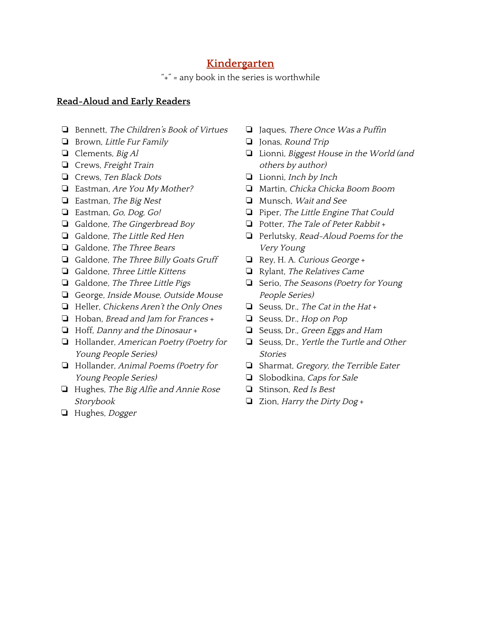# **Kindergarten**

"+" = any book in the series is worthwhile

#### <span id="page-3-1"></span><span id="page-3-0"></span>**Read-Aloud and Early Readers**

- ❏ Bennett, The Children's Book of Virtues
- ❏ Brown, Little Fur Family
- ❏ Clements, Big Al
- ❏ Crews, Freight Train
- ❏ Crews, Ten Black Dots
- ❏ Eastman, Are You My Mother?
- ❏ Eastman, The Big Nest
- ❏ Eastman, Go, Dog, Go!
- ❏ Galdone, The Gingerbread Boy
- ❏ Galdone, The Little Red Hen
- ❏ Galdone, The Three Bears
- ❏ Galdone, The Three Billy Goats Gruff
- ❏ Galdone, Three Little Kittens
- ❏ Galdone, The Three Little Pigs
- ❏ George, Inside Mouse, Outside Mouse
- ❏ Heller, Chickens Aren't the Only Ones
- ❏ Hoban, Bread and Jam for Frances +
- ❏ Hoff, Danny and the Dinosaur +
- ❏ Hollander, American Poetry (Poetry for Young People Series)
- ❏ Hollander, Animal Poems (Poetry for Young People Series)
- ❏ Hughes, The Big Alfie and Annie Rose Storybook
- ❏ Hughes, Dogger
- ❏ Jaques, There Once Was <sup>a</sup> Puffin
- ❏ Jonas, Round Trip
- ❏ Lionni, Biggest House in the World (and others by author)
- ❏ Lionni, Inch by Inch
- ❏ Martin, Chicka Chicka Boom Boom
- ❏ Munsch, Wait and See
- ❏ Piper, The Little Engine That Could
- ❏ Potter, The Tale of Peter Rabbit +
- ❏ Perlutsky, Read-Aloud Poems for the Very Young
- ❏ Rey, H. A. Curious George +
- ❏ Rylant, The Relatives Came
- ❏ Serio, The Seasons (Poetry for Young People Series)
- ❏ Seuss, Dr., The Cat in the Hat +
- ❏ Seuss, Dr., Hop on Pop
- ❏ Seuss, Dr., Green Eggs and Ham
- ❏ Seuss, Dr., Yertle the Turtle and Other Stories
- ❏ Sharmat, Gregory, the Terrible Eater
- ❏ Slobodkina, Caps for Sale
- ❏ Stinson, Red Is Best
- ❏ Zion, Harry the Dirty Dog +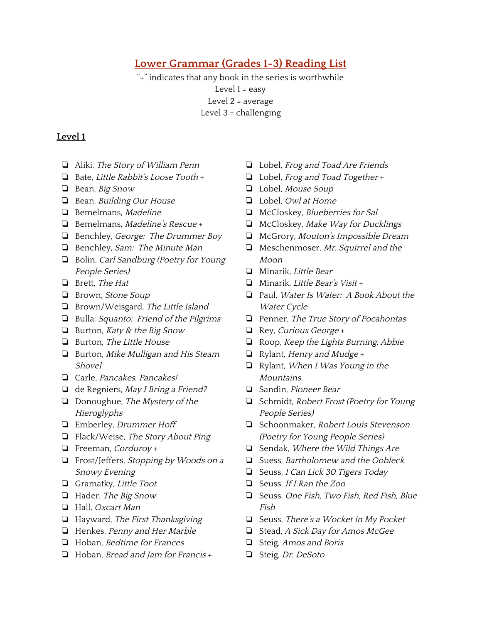# <span id="page-4-1"></span>**Lower Grammar (Grades 1-3) Reading List**

"+" indicates that any book in the series is worthwhile Level 1 = easy Level 2 = average Level 3 = challenging

- <span id="page-4-0"></span>❏ Aliki, The Story of William Penn
- ❏ Bate, Little Rabbit's Loose Tooth +
- ❏ Bean, Big Snow
- ❏ Bean, Building Our House
- ❏ Bemelmans, Madeline
- ❏ Bemelmans, Madeline's Rescue +
- ❏ Benchley, George: The Drummer Boy
- ❏ Benchley, Sam: The Minute Man
- ❏ Bolin, Carl Sandburg (Poetry for Young People Series)
- ❏ Brett, The Hat
- ❏ Brown, Stone Soup
- ❏ Brown/Weisgard, The Little Island
- ❏ Bulla, Squanto: Friend of the Pilgrims
- ❏ Burton, Katy & the Big Snow
- ❏ Burton, The Little House
- ❏ Burton, Mike Mulligan and His Steam Shovel
- ❏ Carle, Pancakes, Pancakes!
- ❏ de Regniers, May <sup>I</sup> Bring <sup>a</sup> Friend?
- ❏ Donoughue, The Mystery of the Hieroglyphs
- ❏ Emberley, Drummer Hoff
- ❏ Flack/Weise, The Story About Ping
- ❏ Freeman, Corduroy +
- ❏ Frost/Jeffers, Stopping by Woods on <sup>a</sup> Snowy Evening
- ❏ Gramatky, Little Toot
- ❏ Hader, The Big Snow
- ❏ Hall, Oxcart Man
- ❏ Hayward, The First Thanksgiving
- ❏ Henkes, Penny and Her Marble
- ❏ Hoban, Bedtime for Frances
- ❏ Hoban, Bread and Jam for Francis +
- ❏ Lobel, Frog and Toad Are Friends
- ❏ Lobel, Frog and Toad Together +
- ❏ Lobel, Mouse Soup
- ❏ Lobel, Owl at Home
- ❏ McCloskey, Blueberries for Sal
- ❏ McCloskey, Make Way for Ducklings
- ❏ McGrory, Mouton's Impossible Dream
- ❏ Meschenmoser, Mr. Squirrel and the Moon
- ❏ Minarik, Little Bear
- ❏ Minarik, Little Bear's Visit +
- ❏ Paul, Water Is Water: <sup>A</sup> Book About the Water Cycle
- ❏ Penner, The True Story of Pocahontas
- ❏ Rey, Curious George +
- ❏ Roop, Keep the Lights Burning, Abbie
- ❏ Rylant, Henry and Mudge +
- ❏ Rylant, When <sup>I</sup> Was Young in the **Mountains**
- ❏ Sandin, Pioneer Bear
- ❏ Schmidt, Robert Frost (Poetry for Young People Series)
- ❏ Schoonmaker, Robert Louis Stevenson (Poetry for Young People Series)
- ❏ Sendak, Where the Wild Things Are
- ❏ Suess, Bartholomew and the Oobleck
- ❏ Seuss, <sup>I</sup> Can Lick <sup>30</sup> Tigers Today
- ❏ Seuss, If <sup>I</sup> Ran the Zoo
- ❏ Seuss, One Fish, Two Fish, Red Fish, Blue Fish
- ❏ Seuss, There's <sup>a</sup> Wocket in My Pocket
- ❏ Stead, <sup>A</sup> Sick Day for Amos McGee
- ❏ Steig, Amos and Boris
- ❏ Steig, Dr. DeSoto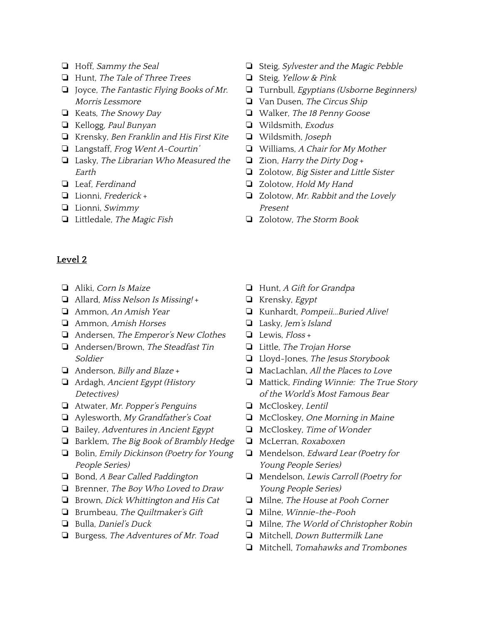- ❏ Hoff, Sammy the Seal
- ❏ Hunt, The Tale of Three Trees
- ❏ Joyce, The Fantastic Flying Books of Mr. Morris Lessmore
- ❏ Keats, The Snowy Day
- ❏ Kellogg, Paul Bunyan
- ❏ Krensky, Ben Franklin and His First Kite
- ❏ Langstaff, Frog Went A-Courtin'
- ❏ Lasky, The Librarian Who Measured the Earth
- ❏ Leaf, Ferdinand
- ❏ Lionni, Frederick +
- ❏ Lionni, Swimmy
- ❏ Littledale, The Magic Fish
- <span id="page-5-0"></span>**Level 2**
- ❏ Aliki, Corn Is Maize
- ❏ Allard, Miss Nelson Is Missing! +
- ❏ Ammon, An Amish Year
- ❏ Ammon, Amish Horses
- ❏ Andersen, The Emperor's New Clothes
- ❏ Andersen/Brown, The Steadfast Tin Soldier
- $\Box$  Anderson, *Billy and Blaze* +
- ❏ Ardagh, Ancient Egypt (History Detectives)
- ❏ Atwater, Mr. Popper's Penguins
- ❏ Aylesworth, My Grandfather's Coat
- ❏ Bailey, Adventures in Ancient Egypt
- ❏ Barklem, The Big Book of Brambly Hedge
- ❏ Bolin, Emily Dickinson (Poetry for Young People Series)
- ❏ Bond, <sup>A</sup> Bear Called Paddington
- ❏ Brenner, The Boy Who Loved to Draw
- ❏ Brown, Dick Whittington and His Cat
- ❏ Brumbeau, The Quiltmaker's Gift
- ❏ Bulla, Daniel's Duck
- ❏ Burgess, The Adventures of Mr. Toad
- ❏ Steig, Sylvester and the Magic Pebble
- ❏ Steig, Yellow & Pink
- ❏ Turnbull, Egyptians (Usborne Beginners)
- ❏ Van Dusen, The Circus Ship
- ❏ Walker, The <sup>18</sup> Penny Goose
- ❏ Wildsmith, Exodus
- ❏ Wildsmith, Joseph
- ❏ Williams, <sup>A</sup> Chair for My Mother
- ❏ Zion, Harry the Dirty Dog +
- ❏ Zolotow, Big Sister and Little Sister
- ❏ Zolotow, Hold My Hand
- ❏ Zolotow, Mr. Rabbit and the Lovely Present
- ❏ Zolotow, The Storm Book
- ❏ Hunt, <sup>A</sup> Gift for Grandpa
- ❏ Krensky, Egypt
- ❏ Kunhardt, Pompeii...Buried Alive!
- ❏ Lasky, Jem's Island
- $\Box$  Lewis, Floss +
- ❏ Little, The Trojan Horse
- ❏ Lloyd-Jones, The Jesus Storybook
- ❏ MacLachlan, All the Places to Love
- ❏ Mattick, Finding Winnie: The True Story of the World's Most Famous Bear
- ❏ McCloskey, Lentil
- ❏ McCloskey, One Morning in Maine
- ❏ McCloskey, Time of Wonder
- ❏ McLerran, Roxaboxen
- ❏ Mendelson, Edward Lear (Poetry for Young People Series)
- ❏ Mendelson, Lewis Carroll (Poetry for Young People Series)
- ❏ Milne, The House at Pooh Corner
- ❏ Milne, Winnie-the-Pooh
- ❏ Milne, The World of Christopher Robin
- ❏ Mitchell, Down Buttermilk Lane
- ❏ Mitchell, Tomahawks and Trombones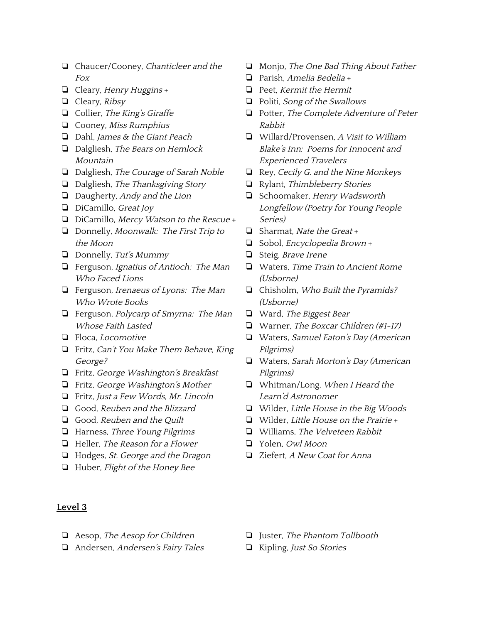- ❏ Chaucer/Cooney, Chanticleer and the Fox
- ❏ Cleary, Henry Huggins +
- ❏ Cleary, Ribsy
- ❏ Collier, The King's Giraffe
- ❏ Cooney, Miss Rumphius
- ❏ Dahl, James & the Giant Peach
- ❏ Dalgliesh, The Bears on Hemlock Mountain
- ❏ Dalgliesh, The Courage of Sarah Noble
- ❏ Dalgliesh, The Thanksgiving Story
- ❏ Daugherty, Andy and the Lion
- ❏ DiCamillo, Great Joy
- ❏ DiCamillo, Mercy Watson to the Rescue +
- ❏ Donnelly, Moonwalk: The First Trip to the Moon
- $\Box$  Donnelly, Tut's Mummy
- ❏ Ferguson, Ignatius of Antioch: The Man Who Faced Lions
- ❏ Ferguson, Irenaeus of Lyons: The Man Who Wrote Books
- ❏ Ferguson, Polycarp of Smyrna: The Man Whose Faith Lasted
- ❏ Floca, Locomotive
- ❏ Fritz, Can't You Make Them Behave, King George?
- ❏ Fritz, George Washington's Breakfast
- ❏ Fritz, George Washington's Mother
- ❏ Fritz, Just <sup>a</sup> Few Words, Mr. Lincoln
- ❏ Good, Reuben and the Blizzard
- ❏ Good, Reuben and the Quilt
- ❏ Harness, Three Young Pilgrims
- ❏ Heller, The Reason for <sup>a</sup> Flower
- ❏ Hodges, St. George and the Dragon
- ❏ Huber, Flight of the Honey Bee
- ❏ Monjo, The One Bad Thing About Father
- ❏ Parish, Amelia Bedelia +
- ❏ Peet, Kermit the Hermit
- ❏ Politi, Song of the Swallows
- ❏ Potter, The Complete Adventure of Peter Rabbit
- ❏ Willard/Provensen, <sup>A</sup> Visit to William Blake's Inn: Poems for Innocent and Experienced Travelers
- ❏ Rey, Cecily G. and the Nine Monkeys
- ❏ Rylant, Thimbleberry Stories
- ❏ Schoomaker, Henry Wadsworth Longfellow (Poetry for Young People Series)
- ❏ Sharmat, Nate the Great +
- ❏ Sobol, Encyclopedia Brown +
- ❏ Steig, Brave Irene
- ❏ Waters, Time Train to Ancient Rome (Usborne)
- ❏ Chisholm, Who Built the Pyramids? (Usborne)
- ❏ Ward, The Biggest Bear
- ❏ Warner, The Boxcar Children (#1-17)
- ❏ Waters, Samuel Eaton's Day (American Pilgrims)
- ❏ Waters, Sarah Morton's Day (American Pilgrims)
- ❏ Whitman/Long, When <sup>I</sup> Heard the Learn'd Astronomer
- ❏ Wilder, Little House in the Big Woods
- ❏ Wilder, Little House on the Prairie +
- ❏ Williams, The Velveteen Rabbit
- ❏ Yolen, Owl Moon
- ❏ Ziefert, <sup>A</sup> New Coat for Anna

- <span id="page-6-0"></span>❏ Aesop, The Aesop for Children
- ❏ Andersen, Andersen's Fairy Tales
- ❏ Juster, The Phantom Tollbooth
- ❏ Kipling, Just So Stories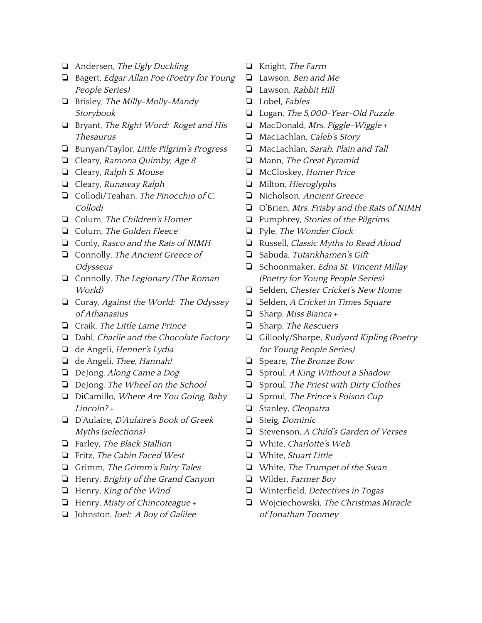- ❏ Andersen, The Ugly Duckling
- ❏ Bagert, Edgar Allan Poe (Poetry for Young People Series)
- ❏ Brisley, The Milly-Molly-Mandy Storybook
- ❏ Bryant, The Right Word: Roget and His Thesaurus
- ❏ Bunyan/Taylor, Little Pilgrim's Progress
- ❏ Cleary, Ramona Quimby, Age <sup>8</sup>
- ❏ Cleary, Ralph S. Mouse
- ❏ Cleary, Runaway Ralph
- ❏ Collodi/Teahan, The Pinocchio of C. Collodi
- ❏ Colum, The Children's Homer
- ❏ Colum, The Golden Fleece
- ❏ Conly, Rasco and the Rats of NIMH
- ❏ Connolly, The Ancient Greece of Odysseus
- ❏ Connolly, The Legionary (The Roman World)
- ❏ Coray, Against the World: The Odyssey of Athanasius
- ❏ Craik, The Little Lame Prince
- ❏ Dahl, Charlie and the Chocolate Factory
- ❏ de Angeli, Henner's Lydia
- ❏ de Angeli, Thee, Hannah!
- ❏ DeJong, Along Came <sup>a</sup> Dog
- ❏ DeJong, The Wheel on the School
- ❏ DiCamillo, Where Are You Going, Baby Lincoln? +
- ❏ D'Aulaire, <sup>D</sup>'Aulaire's Book of Greek Myths (selections)
- ❏ Farley, The Black Stallion
- ❏ Fritz, The Cabin Faced West
- ❏ Grimm, The Grimm's Fairy Tales
- ❏ Henry, Brighty of the Grand Canyon
- ❏ Henry, King of the Wind
- ❏ Henry, Misty of Chincoteague +
- ❏ Johnston, Joel: <sup>A</sup> Boy of Galilee
- ❏ Knight, The Farm
- ❏ Lawson, Ben and Me
- ❏ Lawson, Rabbit Hill
- ❏ Lobel, Fables
- ❏ Logan, The 5,000-Year-Old Puzzle
- ❏ MacDonald, Mrs. Piggle-Wiggle +
- ❏ MacLachlan, Caleb's Story
- ❏ MacLachlan, Sarah, Plain and Tall
- ❏ Mann, The Great Pyramid
- ❏ McCloskey, Homer Price
- ❏ Milton, Hieroglyphs
- ❏ Nicholson, Ancient Greece
- ❏ O'Brien, Mrs. Frisby and the Rats of NIMH
- ❏ Pumphrey, Stories of the Pilgrims
- ❏ Pyle, The Wonder Clock
- ❏ Russell, Classic Myths to Read Aloud
- ❏ Sabuda, Tutankhamen's Gift
- ❏ Schoonmaker, Edna St. Vincent Millay (Poetry for Young People Series)
- ❏ Selden, Chester Cricket's New Home
- ❏ Selden, <sup>A</sup> Cricket in Times Square
- ❏ Sharp, Miss Bianca +
- ❏ Sharp, The Rescuers
- ❏ Gillooly/Sharpe, Rudyard Kipling (Poetry for Young People Series)
- ❏ Speare, The Bronze Bow
- ❏ Sproul, <sup>A</sup> King Without <sup>a</sup> Shadow
- ❏ Sproul, The Priest with Dirty Clothes
- ❏ Sproul, The Prince's Poison Cup
- ❏ Stanley, Cleopatra
- ❏ Steig, Dominic
- ❏ Stevenson, <sup>A</sup> Child's Garden of Verses
- ❏ White, Charlotte's Web
- ❏ White, Stuart Little
- ❏ White, The Trumpet of the Swan
- ❏ Wilder, Farmer Boy
- ❏ Winterfield, Detectives in Togas
- ❏ Wojciechowski, The Christmas Miracle of Jonathan Toomey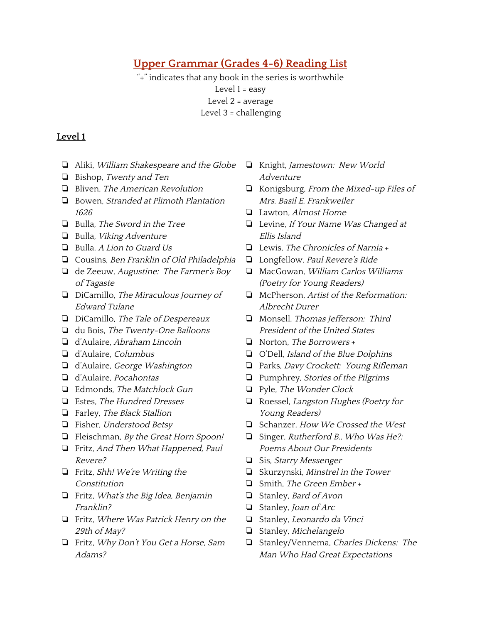# <span id="page-8-1"></span>**Upper Grammar (Grades 4-6) Reading List**

"+" indicates that any book in the series is worthwhile Level 1 = easy Level 2 = average Level 3 = challenging

- <span id="page-8-0"></span>❏ Aliki, William Shakespeare and the Globe
- ❏ Bishop, Twenty and Ten
- ❏ Bliven, The American Revolution
- ❏ Bowen, Stranded at Plimoth Plantation 1626
- ❏ Bulla, The Sword in the Tree
- ❏ Bulla, Viking Adventure
- ❏ Bulla, <sup>A</sup> Lion to Guard Us
- ❏ Cousins, Ben Franklin of Old Philadelphia
- ❏ de Zeeuw, Augustine: The Farmer's Boy of Tagaste
- ❏ DiCamillo, The Miraculous Journey of Edward Tulane
- ❏ DiCamillo, The Tale of Despereaux
- ❏ du Bois, The Twenty-One Balloons
- ❏ d'Aulaire, Abraham Lincoln
- ❏ d'Aulaire, Columbus
- ❏ d'Aulaire, George Washington
- ❏ d'Aulaire, Pocahontas
- ❏ Edmonds, The Matchlock Gun
- ❏ Estes, The Hundred Dresses
- ❏ Farley, The Black Stallion
- ❏ Fisher, Understood Betsy
- ❏ Fleischman, By the Great Horn Spoon!
- ❏ Fritz, And Then What Happened, Paul Revere?
- ❏ Fritz, Shh! We're Writing the Constitution
- ❏ Fritz, What's the Big Idea, Benjamin Franklin?
- ❏ Fritz, Where Was Patrick Henry on the 29th of May?
- ❏ Fritz, Why Don't You Get <sup>a</sup> Horse, Sam Adams?
- ❏ Knight, Jamestown: New World Adventure
- ❏ Konigsburg, From the Mixed-up Files of Mrs. Basil E. Frankweiler
- ❏ Lawton, Almost Home
- ❏ Levine, If Your Name Was Changed at Ellis Island
- ❏ Lewis, The Chronicles of Narnia +
- ❏ Longfellow, Paul Revere's Ride
- ❏ MacGowan, William Carlos Williams (Poetry for Young Readers)
- ❏ McPherson, Artist of the Reformation: Albrecht Durer
- ❏ Monsell, Thomas Jefferson: Third President of the United States
- ❏ Norton, The Borrowers +
- ❏ O'Dell, Island of the Blue Dolphins
- ❏ Parks, Davy Crockett: Young Rifleman
- ❏ Pumphrey, Stories of the Pilgrims
- ❏ Pyle, The Wonder Clock
- ❏ Roessel, Langston Hughes (Poetry for Young Readers)
- ❏ Schanzer, How We Crossed the West
- ❏ Singer, Rutherford B., Who Was He?: Poems About Our Presidents
- ❏ Sis, Starry Messenger
- ❏ Skurzynski, Minstrel in the Tower
- ❏ Smith, The Green Ember +
- ❏ Stanley, Bard of Avon
- ❏ Stanley, Joan of Arc
- ❏ Stanley, Leonardo da Vinci
- ❏ Stanley, Michelangelo
- ❏ Stanley/Vennema, Charles Dickens: The Man Who Had Great Expectations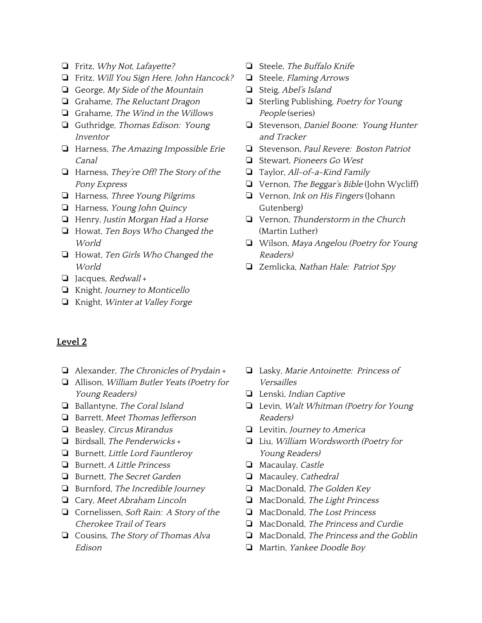- ❏ Fritz, Why Not, Lafayette?
- ❏ Fritz, Will You Sign Here, John Hancock?
- ❏ George, My Side of the Mountain
- ❏ Grahame, The Reluctant Dragon
- ❏ Grahame, The Wind in the Willows
- ❏ Guthridge, Thomas Edison: Young Inventor
- ❏ Harness, The Amazing Impossible Erie Canal
- ❏ Harness, They're Off! The Story of the Pony Express
- ❏ Harness, Three Young Pilgrims
- ❏ Harness, Young John Quincy
- ❏ Henry, Justin Morgan Had <sup>a</sup> Horse
- ❏ Howat, Ten Boys Who Changed the World
- ❏ Howat, Ten Girls Who Changed the World
- ❏ Jacques, Redwall +
- ❏ Knight, Journey to Monticello
- ❏ Knight, Winter at Valley Forge
- ❏ Steele, The Buffalo Knife
- ❏ Steele, Flaming Arrows
- ❏ Steig, Abel's Island
- ❏ Sterling Publishing, Poetry for Young People (series)
- ❏ Stevenson, Daniel Boone: Young Hunter and Tracker
- ❏ Stevenson, Paul Revere: Boston Patriot
- ❏ Stewart, Pioneers Go West
- ❏ Taylor, All-of-a-Kind Family
- ❏ Vernon, The Beggar's Bible (John Wycliff)
- ❏ Vernon, Ink on His Fingers (Johann Gutenberg)
- ❏ Vernon, Thunderstorm in the Church (Martin Luther)
- ❏ Wilson, Maya Angelou (Poetry for Young Readers)
- ❏ Zemlicka, Nathan Hale: Patriot Spy

- <span id="page-9-0"></span>❏ Alexander, The Chronicles of Prydain +
- ❏ Allison, William Butler Yeats (Poetry for Young Readers)
- ❏ Ballantyne, The Coral Island
- ❏ Barrett, Meet Thomas Jefferson
- ❏ Beasley, Circus Mirandus
- ❏ Birdsall, The Penderwicks +
- ❏ Burnett, Little Lord Fauntleroy
- ❏ Burnett, <sup>A</sup> Little Princess
- ❏ Burnett, The Secret Garden
- ❏ Burnford, The Incredible Journey
- ❏ Cary, Meet Abraham Lincoln
- ❏ Cornelissen, Soft Rain: <sup>A</sup> Story of the Cherokee Trail of Tears
- ❏ Cousins, The Story of Thomas Alva Edison
- ❏ Lasky, Marie Antoinette: Princess of Versailles
- ❏ Lenski, Indian Captive
- ❏ Levin, Walt Whitman (Poetry for Young Readers)
- ❏ Levitin, Journey to America
- ❏ Liu, William Wordsworth (Poetry for Young Readers)
- ❏ Macaulay, Castle
- ❏ Macauley, Cathedral
- ❏ MacDonald, The Golden Key
- ❏ MacDonald, The Light Princess
- ❏ MacDonald, The Lost Princess
- ❏ MacDonald, The Princess and Curdie
- ❏ MacDonald, The Princess and the Goblin
- ❏ Martin, Yankee Doodle Boy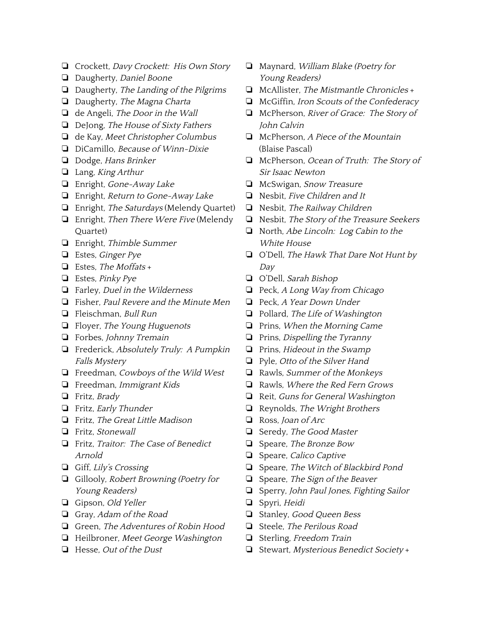- ❏ Crockett, Davy Crockett: His Own Story
- ❏ Daugherty, Daniel Boone
- ❏ Daugherty, The Landing of the Pilgrims
- ❏ Daugherty, The Magna Charta
- ❏ de Angeli, The Door in the Wall
- ❏ DeJong, The House of Sixty Fathers
- ❏ de Kay, Meet Christopher Columbus
- ❏ DiCamillo, Because of Winn-Dixie
- ❏ Dodge, Hans Brinker
- ❏ Lang, King Arthur
- ❏ Enright, Gone-Away Lake
- ❏ Enright, Return to Gone-Away Lake
- ❏ Enright, The Saturdays (Melendy Quartet)
- ❏ Enright, Then There Were Five (Melendy Quartet)
- ❏ Enright, Thimble Summer
- ❏ Estes, Ginger Pye
- $\Box$  Estes, The Moffats +
- ❏ Estes, Pinky Pye
- ❏ Farley, Duel in the Wilderness
- ❏ Fisher, Paul Revere and the Minute Men
- ❏ Fleischman, Bull Run
- ❏ Floyer, The Young Huguenots
- ❏ Forbes, Johnny Tremain
- ❏ Frederick, Absolutely Truly: <sup>A</sup> Pumpkin Falls Mystery
- ❏ Freedman, Cowboys of the Wild West
- ❏ Freedman, Immigrant Kids
- ❏ Fritz, Brady
- ❏ Fritz, Early Thunder
- ❏ Fritz, The Great Little Madison
- ❏ Fritz, Stonewall
- ❏ Fritz, Traitor: The Case of Benedict Arnold
- ❏ Giff, Lily's Crossing
- ❏ Gillooly, Robert Browning (Poetry for Young Readers)
- ❏ Gipson, Old Yeller
- ❏ Gray, Adam of the Road
- ❏ Green, The Adventures of Robin Hood
- ❏ Heilbroner, Meet George Washington
- ❏ Hesse, Out of the Dust
- ❏ Maynard, William Blake (Poetry for Young Readers)
- ❏ McAllister, The Mistmantle Chronicles +
- ❏ McGiffin, Iron Scouts of the Confederacy
- ❏ McPherson, River of Grace: The Story of John Calvin
- ❏ McPherson, <sup>A</sup> Piece of the Mountain (Blaise Pascal)
- ❏ McPherson, Ocean of Truth: The Story of Sir Isaac Newton
- ❏ McSwigan, Snow Treasure
- ❏ Nesbit, Five Children and It
- ❏ Nesbit, The Railway Children
- ❏ Nesbit, The Story of the Treasure Seekers
- ❏ North, Abe Lincoln: Log Cabin to the White House
- ❏ O'Dell, The Hawk That Dare Not Hunt by Day
- ❏ O'Dell, Sarah Bishop
- ❏ Peck, <sup>A</sup> Long Way from Chicago
- ❏ Peck, <sup>A</sup> Year Down Under
- ❏ Pollard, The Life of Washington
- ❏ Prins, When the Morning Came
- ❏ Prins, Dispelling the Tyranny
- ❏ Prins, Hideout in the Swamp
- ❏ Pyle, Otto of the Silver Hand
- ❏ Rawls, Summer of the Monkeys
- ❏ Rawls, Where the Red Fern Grows
- ❏ Reit, Guns for General Washington
- ❏ Reynolds, The Wright Brothers
- ❏ Ross, Joan of Arc
- ❏ Seredy, The Good Master
- ❏ Speare, The Bronze Bow
- ❏ Speare, Calico Captive
- ❏ Speare, The Witch of Blackbird Pond
- ❏ Speare, The Sign of the Beaver
- ❏ Sperry, John Paul Jones, Fighting Sailor
- ❏ Spyri, Heidi
- ❏ Stanley, Good Queen Bess
- ❏ Steele, The Perilous Road
- ❏ Sterling, Freedom Train
- ❏ Stewart, Mysterious Benedict Society +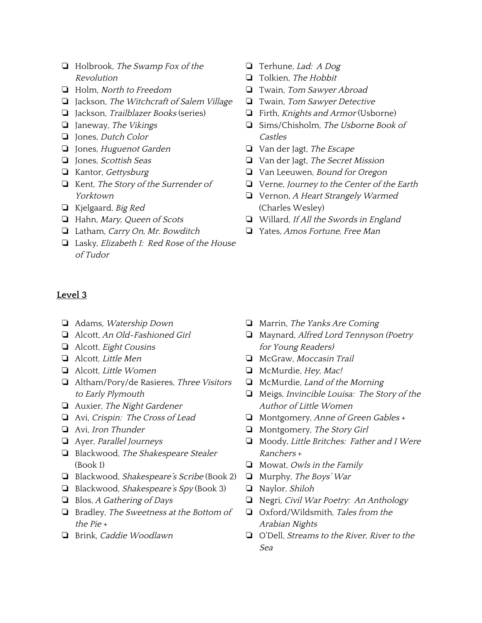- ❏ Holbrook, The Swamp Fox of the Revolution
- ❏ Holm, North to Freedom
- ❏ Jackson, The Witchcraft of Salem Village
- ❏ Jackson, Trailblazer Books (series)
- ❏ Janeway, The Vikings
- ❏ Jones, Dutch Color
- ❏ Jones, Huguenot Garden
- ❏ Jones, Scottish Seas
- ❏ Kantor, Gettysburg
- ❏ Kent, The Story of the Surrender of Yorktown
- ❏ Kjelgaard, Big Red
- ❏ Hahn, Mary, Queen of Scots
- ❏ Latham, Carry On, Mr. Bowditch
- ❏ Lasky, Elizabeth I: Red Rose of the House of Tudor
- <span id="page-11-0"></span>**Level 3**
	- ❏ Adams, Watership Down
	- ❏ Alcott, An Old-Fashioned Girl
	- ❏ Alcott, Eight Cousins
- ❏ Alcott, Little Men
- ❏ Alcott, Little Women
- ❏ Altham/Pory/de Rasieres, Three Visitors to Early Plymouth
- ❏ Auxier, The Night Gardener
- ❏ Avi, Crispin: The Cross of Lead
- ❏ Avi, Iron Thunder
- ❏ Ayer, Parallel Journeys
- ❏ Blackwood, The Shakespeare Stealer (Book 1)
- ❏ Blackwood, Shakespeare's Scribe (Book 2)
- ❏ Blackwood, Shakespeare's Spy (Book 3)
- ❏ Blos, <sup>A</sup> Gathering of Days
- ❏ Bradley, The Sweetness at the Bottom of the Pie +
- ❏ Brink, Caddie Woodlawn
- ❏ Terhune, Lad: <sup>A</sup> Dog
- ❏ Tolkien, The Hobbit
- ❏ Twain, Tom Sawyer Abroad
- ❏ Twain, Tom Sawyer Detective
- ❏ Firth, Knights and Armor (Usborne)
- ❏ Sims/Chisholm, The Usborne Book of Castles
- ❏ Van der Jagt, The Escape
- ❏ Van der Jagt, The Secret Mission
- ❏ Van Leeuwen, Bound for Oregon
- ❏ Verne, Journey to the Center of the Earth
- ❏ Vernon, <sup>A</sup> Heart Strangely Warmed (Charles Wesley)
- ❏ Willard, If All the Swords in England
- ❏ Yates, Amos Fortune, Free Man

- ❏ Marrin, The Yanks Are Coming
- ❏ Maynard, Alfred Lord Tennyson (Poetry for Young Readers)
- ❏ McGraw, Moccasin Trail
- ❏ McMurdie, Hey, Mac!
- ❏ McMurdie, Land of the Morning
- ❏ Meigs, Invincible Louisa: The Story of the Author of Little Women
- ❏ Montgomery, Anne of Green Gables +
- ❏ Montgomery, The Story Girl
- ❏ Moody, Little Britches: Father and <sup>I</sup> Were Ranchers +
- ❏ Mowat, Owls in the Family
- ❏ Murphy, The Boys' War
- ❏ Naylor, Shiloh
- ❏ Negri, Civil War Poetry: An Anthology
- ❏ Oxford/Wildsmith, Tales from the Arabian Nights
- ❏ O'Dell, Streams to the River, River to the Sea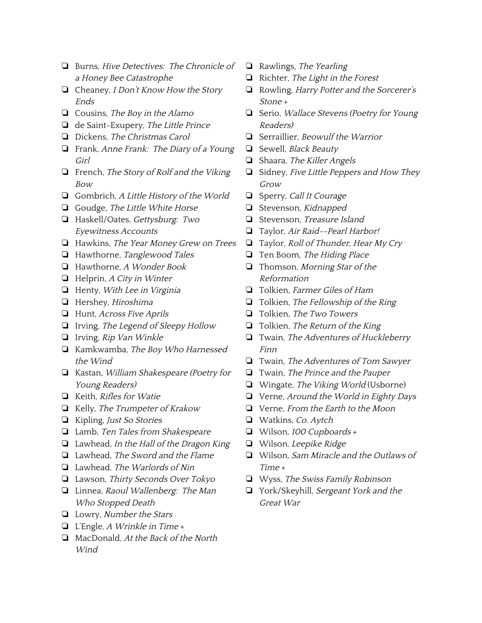- ❏ Burns, Hive Detectives: The Chronicle of <sup>a</sup> Honey Bee Catastrophe
- ❏ Cheaney, <sup>I</sup> Don't Know How the Story Ends
- ❏ Cousins, The Boy in the Alamo
- ❏ de Saint-Exupery, The Little Prince
- ❏ Dickens, The Christmas Carol
- ❏ Frank, Anne Frank: The Diary of <sup>a</sup> Young Girl
- ❏ French, The Story of Rolf and the Viking Bow
- ❏ Gombrich, <sup>A</sup> Little History of the World
- ❏ Goudge, The Little White Horse
- ❏ Haskell/Oates, Gettysburg: Two Eyewitness Accounts
- ❏ Hawkins, The Year Money Grew on Trees
- ❏ Hawthorne, Tanglewood Tales
- ❏ Hawthorne, <sup>A</sup> Wonder Book
- ❏ Helprin, <sup>A</sup> City in Winter
- ❏ Henty, With Lee in Virginia
- ❏ Hershey, Hiroshima
- ❏ Hunt, Across Five Aprils
- ❏ Irving, The Legend of Sleepy Hollow
- ❏ Irving, Rip Van Winkle
- ❏ Kamkwamba, The Boy Who Harnessed the Wind
- ❏ Kastan, William Shakespeare (Poetry for Young Readers)
- ❏ Keith, Rifles for Watie
- ❏ Kelly, The Trumpeter of Krakow
- ❏ Kipling, Just So Stories
- ❏ Lamb, Ten Tales from Shakespeare
- ❏ Lawhead, In the Hall of the Dragon King
- ❏ Lawhead, The Sword and the Flame
- ❏ Lawhead, The Warlords of Nin
- ❏ Lawson, Thirty Seconds Over Tokyo
- ❏ Linnea, Raoul Wallenberg: The Man Who Stopped Death
- ❏ Lowry, Number the Stars
- ❏ L'Engle, <sup>A</sup> Wrinkle in Time +
- ❏ MacDonald, At the Back of the North Wind
- ❏ Rawlings, The Yearling
- ❏ Richter, The Light in the Forest
- ❏ Rowling, Harry Potter and the Sorcerer's Stone +
- ❏ Serio, Wallace Stevens (Poetry for Young Readers)
- ❏ Serraillier, Beowulf the Warrior
- ❏ Sewell, Black Beauty
- ❏ Shaara, The Killer Angels
- ❏ Sidney, Five Little Peppers and How They Grow
- ❏ Sperry, Call It Courage
- ❏ Stevenson, Kidnapped
- ❏ Stevenson, Treasure Island
- ❏ Taylor, Air Raid--Pearl Harbor!
- ❏ Taylor, Roll of Thunder, Hear My Cry
- ❏ Ten Boom, The Hiding Place
- ❏ Thomson, Morning Star of the Reformation
- ❏ Tolkien, Farmer Giles of Ham
- ❏ Tolkien, The Fellowship of the Ring
- ❏ Tolkien, The Two Towers
- ❏ Tolkien, The Return of the King
- ❏ Twain, The Adventures of Huckleberry Finn
- ❏ Twain, The Adventures of Tom Sawyer
- ❏ Twain, The Prince and the Pauper
- ❏ Wingate, The Viking World (Usborne)
- ❏ Verne, Around the World in Eighty Days
- ❏ Verne, From the Earth to the Moon
- ❏ Watkins, Co. Aytch
- ❏ Wilson, <sup>100</sup> Cupboards +
- ❏ Wilson, Leepike Ridge
- ❏ Wilson, Sam Miracle and the Outlaws of Time +
- ❏ Wyss, The Swiss Family Robinson
- ❏ York/Skeyhill, Sergeant York and the Great War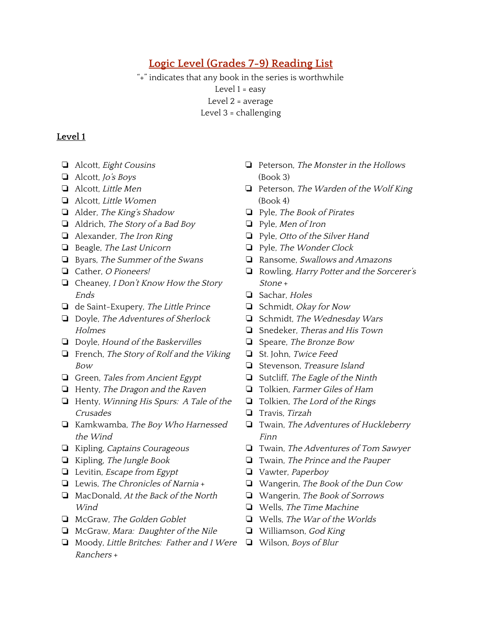# **Logic Level (Grades 7-9) Reading List**

<span id="page-13-1"></span>"+" indicates that any book in the series is worthwhile Level 1 = easy Level 2 = average Level 3 = challenging

- <span id="page-13-0"></span>❏ Alcott, Eight Cousins
- ❏ Alcott, Jo's Boys
- ❏ Alcott, Little Men
- ❏ Alcott, Little Women
- ❏ Alder, The King's Shadow
- ❏ Aldrich, The Story of <sup>a</sup> Bad Boy
- ❏ Alexander, The Iron Ring
- ❏ Beagle, The Last Unicorn
- ❏ Byars, The Summer of the Swans
- ❏ Cather, <sup>O</sup> Pioneers!
- ❏ Cheaney, <sup>I</sup> Don't Know How the Story Ends
- ❏ de Saint-Exupery, The Little Prince
- ❏ Doyle, The Adventures of Sherlock **Holmes**
- ❏ Doyle, Hound of the Baskervilles
- ❏ French, The Story of Rolf and the Viking Bow
- ❏ Green, Tales from Ancient Egypt
- ❏ Henty, The Dragon and the Raven
- ❏ Henty, Winning His Spurs: <sup>A</sup> Tale of the Crusades
- ❏ Kamkwamba, The Boy Who Harnessed the Wind
- ❏ Kipling, Captains Courageous
- ❏ Kipling, The Jungle Book
- ❏ Levitin, Escape from Egypt
- ❏ Lewis, The Chronicles of Narnia +
- ❏ MacDonald, At the Back of the North **Wind**
- ❏ McGraw, The Golden Goblet
- ❏ McGraw, Mara: Daughter of the Nile
- ❏ Moody, Little Britches: Father and <sup>I</sup> Were ❏ Wilson, Boys of BlurRanchers +
- ❏ Peterson, The Monster in the Hollows (Book 3)
- ❏ Peterson, The Warden of the Wolf King (Book 4)
- ❏ Pyle, The Book of Pirates
- ❏ Pyle, Men of Iron
- ❏ Pyle, Otto of the Silver Hand
- ❏ Pyle, The Wonder Clock
- ❏ Ransome, Swallows and Amazons
- ❏ Rowling, Harry Potter and the Sorcerer's Stone +
- ❏ Sachar, Holes
- ❏ Schmidt, Okay for Now
- ❏ Schmidt, The Wednesday Wars
- ❏ Snedeker, Theras and His Town
- ❏ Speare, The Bronze Bow
- ❏ St. John, Twice Feed
- ❏ Stevenson, Treasure Island
- ❏ Sutcliff, The Eagle of the Ninth
- ❏ Tolkien, Farmer Giles of Ham
- ❏ Tolkien, The Lord of the Rings
- ❏ Travis, Tirzah
- ❏ Twain, The Adventures of Huckleberry Finn
- ❏ Twain, The Adventures of Tom Sawyer
- ❏ Twain, The Prince and the Pauper
- ❏ Vawter, Paperboy
- ❏ Wangerin, The Book of the Dun Cow
- ❏ Wangerin, The Book of Sorrows
- ❏ Wells, The Time Machine
- ❏ Wells, The War of the Worlds
- ❏ Williamson, God King
-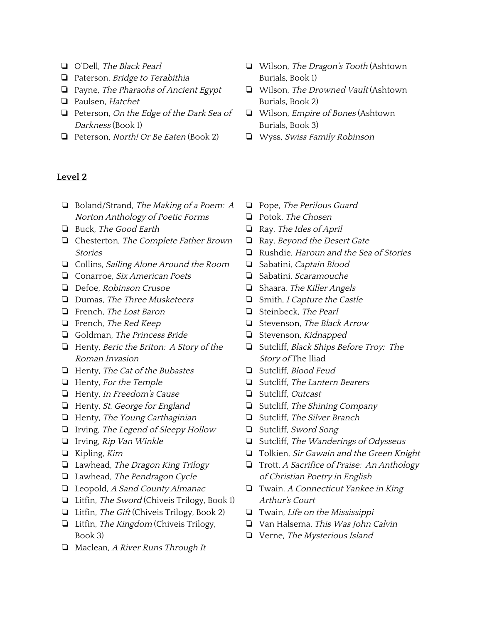- ❏ O'Dell, The Black Pearl
- ❏ Paterson, Bridge to Terabithia
- ❏ Payne, The Pharaohs of Ancient Egypt
- ❏ Paulsen, Hatchet
- ❏ Peterson, On the Edge of the Dark Sea of Darkness (Book 1)
- ❏ Peterson, North! Or Be Eaten (Book 2)
- <span id="page-14-0"></span>**Level 2**
	- ❏ Boland/Strand, The Making of <sup>a</sup> Poem: <sup>A</sup> Norton Anthology of Poetic Forms
- ❏ Buck, The Good Earth
- ❏ Chesterton, The Complete Father Brown Stories
- ❏ Collins, Sailing Alone Around the Room
- ❏ Conarroe, Six American Poets
- ❏ Defoe, Robinson Crusoe
- ❏ Dumas, The Three Musketeers
- ❏ French, The Lost Baron
- ❏ French, The Red Keep
- ❏ Goldman, The Princess Bride
- ❏ Henty, Beric the Briton: <sup>A</sup> Story of the Roman Invasion
- ❏ Henty, The Cat of the Bubastes
- ❏ Henty, For the Temple
- ❏ Henty, In Freedom's Cause
- ❏ Henty, St. George for England
- ❏ Henty, The Young Carthaginian
- ❏ Irving, The Legend of Sleepy Hollow
- ❏ Irving, Rip Van Winkle
- ❏ Kipling, Kim
- ❏ Lawhead, The Dragon King Trilogy
- ❏ Lawhead, The Pendragon Cycle
- ❏ Leopold, <sup>A</sup> Sand County Almanac
- ❏ Litfin, The Sword (Chiveis Trilogy, Book 1)
- ❏ Litfin, The Gift (Chiveis Trilogy, Book 2)
- ❏ Litfin, The Kingdom (Chiveis Trilogy, Book 3)
- ❏ Maclean, <sup>A</sup> River Runs Through It
- ❏ Wilson, The Dragon's Tooth (Ashtown Burials, Book 1)
- ❏ Wilson, The Drowned Vault (Ashtown Burials, Book 2)
- ❏ Wilson, Empire of Bones (Ashtown Burials, Book 3)
- ❏ Wyss, Swiss Family Robinson
- ❏ Pope, The Perilous Guard
- ❏ Potok, The Chosen
- ❏ Ray, The Ides of April
- ❏ Ray, Beyond the Desert Gate
- ❏ Rushdie, Haroun and the Sea of Stories
- ❏ Sabatini, Captain Blood
- ❏ Sabatini, Scaramouche
- ❏ Shaara, The Killer Angels
- ❏ Smith, <sup>I</sup> Capture the Castle
- ❏ Steinbeck, The Pearl
- ❏ Stevenson, The Black Arrow
- ❏ Stevenson, Kidnapped
- ❏ Sutcliff, Black Ships Before Troy: The Story of The Iliad
- ❏ Sutcliff, Blood Feud
- ❏ Sutcliff, The Lantern Bearers
- ❏ Sutcliff, Outcast
- ❏ Sutcliff, The Shining Company
- ❏ Sutcliff, The Silver Branch
- ❏ Sutcliff, Sword Song
- ❏ Sutcliff, The Wanderings of Odysseus
- ❏ Tolkien, Sir Gawain and the Green Knight
- ❏ Trott, <sup>A</sup> Sacrifice of Praise: An Anthology of Christian Poetry in English
- ❏ Twain, <sup>A</sup> Connecticut Yankee in King Arthur's Court
- ❏ Twain, Life on the Mississippi
- ❏ Van Halsema, This Was John Calvin
- ❏ Verne, The Mysterious Island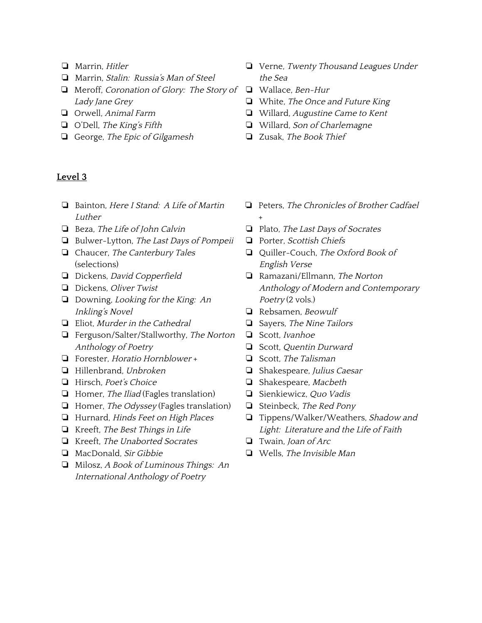- ❏ Marrin, Hitler
- ❏ Marrin, Stalin: Russia's Man of Steel
- ❏ Meroff, Coronation of Glory: The Story of Lady Jane Grey
- ❏ Orwell, Animal Farm
- ❏ O'Dell, The King's Fifth
- ❏ George, The Epic of Gilgamesh

- <span id="page-15-0"></span>❏ Bainton, Here <sup>I</sup> Stand: <sup>A</sup> Life of Martin Luther
- ❏ Beza, The Life of John Calvin
- ❏ Bulwer-Lytton, The Last Days of Pompeii
- ❏ Chaucer, The Canterbury Tales (selections)
- ❏ Dickens, David Copperfield
- ❏ Dickens, Oliver Twist
- ❏ Downing, Looking for the King: An Inkling's Novel
- ❏ Eliot, Murder in the Cathedral
- ❏ Ferguson/Salter/Stallworthy, The Norton Anthology of Poetry
- ❏ Forester, Horatio Hornblower +
- ❏ Hillenbrand, Unbroken
- ❏ Hirsch, Poet's Choice
- ❏ Homer, The Iliad (Fagles translation)
- ❏ Homer, The Odyssey (Fagles translation)
- ❏ Hurnard, Hinds Feet on High Places
- ❏ Kreeft, The Best Things in Life
- ❏ Kreeft, The Unaborted Socrates
- ❏ MacDonald, Sir Gibbie
- ❏ Milosz, <sup>A</sup> Book of Luminous Things: An International Anthology of Poetry
- ❏ Verne, Twenty Thousand Leagues Under the Sea
- ❏ Wallace, Ben-Hur
- ❏ White, The Once and Future King
- ❏ Willard, Augustine Came to Kent
- ❏ Willard, Son of Charlemagne
- ❏ Zusak, The Book Thief
- ❏ Peters, The Chronicles of Brother Cadfael
- ❏ Plato, The Last Days of Socrates
- ❏ Porter, Scottish Chiefs

+

- ❏ Quiller-Couch, The Oxford Book of English Verse
- ❏ Ramazani/Ellmann, The Norton Anthology of Modern and Contemporary Poetry (2 vols.)
- ❏ Rebsamen, Beowulf
- ❏ Sayers, The Nine Tailors
- ❏ Scott, Ivanhoe
- ❏ Scott, Quentin Durward
- ❏ Scott, The Talisman
- ❏ Shakespeare, Julius Caesar
- ❏ Shakespeare, Macbeth
- ❏ Sienkiewicz, Quo Vadis
- ❏ Steinbeck, The Red Pony
- ❏ Tippens/Walker/Weathers, Shadow and Light: Literature and the Life of Faith
- ❏ Twain, Joan of Arc
- ❏ Wells, The Invisible Man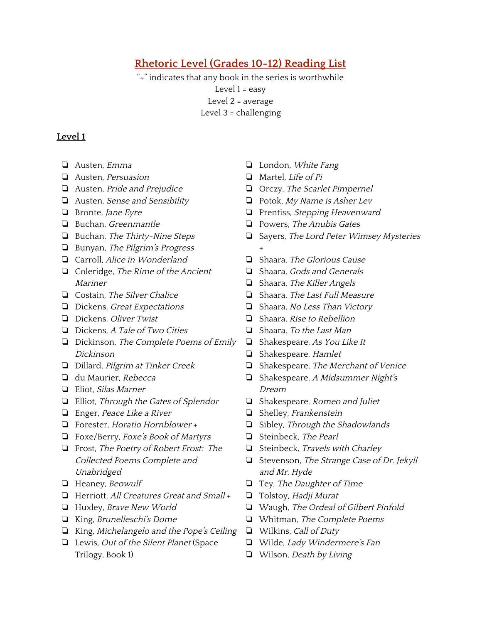# <span id="page-16-0"></span>**Rhetoric Level (Grades 10-12) Reading List**

"+" indicates that any book in the series is worthwhile Level 1 = easy Level 2 = average Level 3 = challenging

- <span id="page-16-1"></span>❏ Austen, Emma
- ❏ Austen, Persuasion
- ❏ Austen, Pride and Prejudice
- ❏ Austen, Sense and Sensibility
- ❏ Bronte, Jane Eyre
- ❏ Buchan, Greenmantle
- ❏ Buchan, The Thirty-Nine Steps
- ❏ Bunyan, The Pilgrim's Progress
- ❏ Carroll, Alice in Wonderland
- ❏ Coleridge, The Rime of the Ancient Mariner
- ❏ Costain, The Silver Chalice
- ❏ Dickens, Great Expectations
- ❏ Dickens, Oliver Twist
- ❏ Dickens, <sup>A</sup> Tale of Two Cities
- ❏ Dickinson, The Complete Poems of Emily Dickinson
- ❏ Dillard, Pilgrim at Tinker Creek
- ❏ du Maurier, Rebecca
- ❏ Eliot, Silas Marner
- ❏ Elliot, Through the Gates of Splendor
- ❏ Enger, Peace Like <sup>a</sup> River
- ❏ Forester, Horatio Hornblower +
- ❏ Foxe/Berry, Foxe's Book of Martyrs
- ❏ Frost, The Poetry of Robert Frost: The Collected Poems Complete and Unabridged
- ❏ Heaney, Beowulf
- ❏ Herriott, All Creatures Great and Small +
- ❏ Huxley, Brave New World
- ❏ King, Brunelleschi's Dome
- ❏ King, Michelangelo and the Pope's Ceiling
- ❏ Lewis, Out of the Silent Planet (Space Trilogy, Book 1)
- ❏ London, White Fang
- ❏ Martel, Life of Pi
- ❏ Orczy, The Scarlet Pimpernel
- ❏ Potok, My Name is Asher Lev
- ❏ Prentiss, Stepping Heavenward
- ❏ Powers, The Anubis Gates
- ❏ Sayers, The Lord Peter Wimsey Mysteries +
- ❏ Shaara, The Glorious Cause
- ❏ Shaara, Gods and Generals
- ❏ Shaara, The Killer Angels
- ❏ Shaara, The Last Full Measure
- ❏ Shaara, No Less Than Victory
- ❏ Shaara, Rise to Rebellion
- ❏ Shaara, To the Last Man
- ❏ Shakespeare, As You Like It
- ❏ Shakespeare, Hamlet
- ❏ Shakespeare, The Merchant of Venice
- ❏ Shakespeare, <sup>A</sup> Midsummer Night's Dream
- ❏ Shakespeare, Romeo and Juliet
- ❏ Shelley, Frankenstein
- ❏ Sibley, Through the Shadowlands
- ❏ Steinbeck, The Pearl
- ❏ Steinbeck, Travels with Charley
- ❏ Stevenson, The Strange Case of Dr. Jekyll and Mr. Hyde
- ❏ Tey, The Daughter of Time
- ❏ Tolstoy, Hadji Murat
- ❏ Waugh, The Ordeal of Gilbert Pinfold
- ❏ Whitman, The Complete Poems
- ❏ Wilkins, Call of Duty
- ❏ Wilde, Lady Windermere's Fan
- ❏ Wilson, Death by Living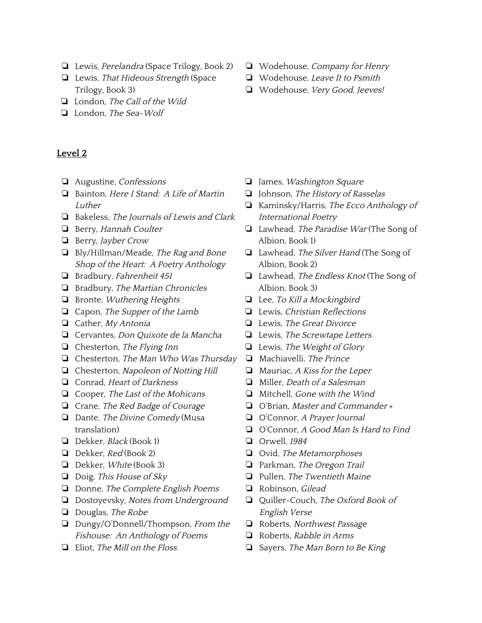- ❏ Lewis, Perelandra (Space Trilogy, Book 2)
- ❏ Lewis, That Hideous Strength (Space Trilogy, Book 3)
- ❏ London, The Call of the Wild
- ❏ London, The Sea-Wolf

- <span id="page-17-0"></span>❏ Augustine, Confessions
- ❏ Bainton, Here <sup>I</sup> Stand: <sup>A</sup> Life of Martin Luther
- ❏ Bakeless, The Journals of Lewis and Clark
- ❏ Berry, Hannah Coulter
- ❏ Berry, Jayber Crow
- ❏ Bly/Hillman/Meade, The Rag and Bone Shop of the Heart: <sup>A</sup> Poetry Anthology
- ❏ Bradbury, Fahrenheit <sup>451</sup>
- ❏ Bradbury, The Martian Chronicles
- ❏ Bronte, Wuthering Heights
- ❏ Capon, The Supper of the Lamb
- ❏ Cather, My Antonia
- ❏ Cervantes, Don Quixote de la Mancha
- ❏ Chesterton, The Flying Inn
- ❏ Chesterton, The Man Who Was Thursday
- ❏ Chesterton, Napoleon of Notting Hill
- ❏ Conrad, Heart of Darkness
- ❏ Cooper, The Last of the Mohicans
- ❏ Crane, The Red Badge of Courage
- $\Box$  Dante, The Divine Comedy (Musa translation)
- ❏ Dekker, Black (Book 1)
- ❏ Dekker, Red (Book 2)
- ❏ Dekker, White (Book 3)
- ❏ Doig, This House of Sky
- ❏ Donne, The Complete English Poems
- ❏ Dostoyevsky, Notes from Underground
- ❏ Douglas, The Robe
- ❏ Dungy/O'Donnell/Thompson, From the Fishouse: An Anthology of Poems
- ❏ Eliot, The Mill on the Floss
- ❏ Wodehouse, Company for Henry
- ❏ Wodehouse, Leave It to Psmith
- ❏ Wodehouse, Very Good, Jeeves!

- ❏ James, Washington Square
- ❏ Johnson, The History of Rasselas
- ❏ Kaminsky/Harris, The Ecco Anthology of International Poetry
- ❏ Lawhead, The Paradise War (The Song of Albion, Book 1)
- ❏ Lawhead, The Silver Hand (The Song of Albion, Book 2)
- ❏ Lawhead, The Endless Knot (The Song of Albion, Book 3)
- ❏ Lee, To Kill <sup>a</sup> Mockingbird
- ❏ Lewis, Christian Reflections
- ❏ Lewis, The Great Divorce
- ❏ Lewis, The Screwtape Letters
- ❏ Lewis, The Weight of Glory
- ❏ Machiavelli, The Prince
- $\Box$  Mauriac, A Kiss for the Leper
- ❏ Miller, Death of <sup>a</sup> Salesman
- ❏ Mitchell, Gone with the Wind
- ❏ O'Brian, Master and Commander +
- ❏ O'Connor, <sup>A</sup> Prayer Journal
- ❏ O'Connor, <sup>A</sup> Good Man Is Hard to Find
- ❏ Orwell, <sup>1984</sup>
- ❏ Ovid, The Metamorphoses
- ❏ Parkman, The Oregon Trail
- ❏ Pullen, The Twentieth Maine
- ❏ Robinson, Gilead
- ❏ Quiller-Couch, The Oxford Book of English Verse
- ❏ Roberts, Northwest Passage
- ❏ Roberts, Rabble in Arms
- ❏ Sayers, The Man Born to Be King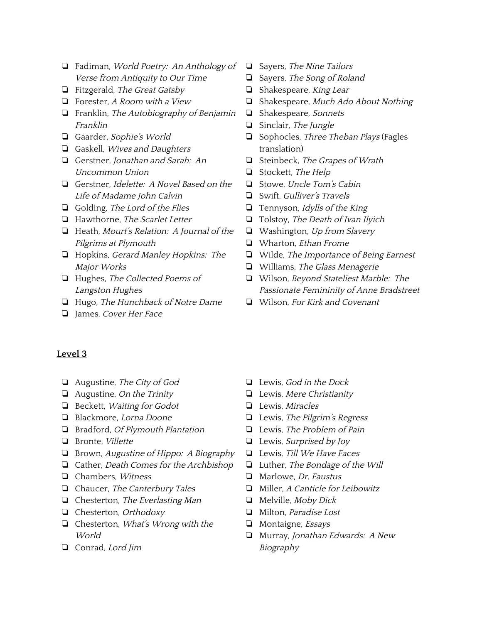- ❏ Fadiman, World Poetry: An Anthology of Verse from Antiquity to Our Time
- ❏ Fitzgerald, The Great Gatsby
- ❏ Forester, <sup>A</sup> Room with <sup>a</sup> View
- ❏ Franklin, The Autobiography of Benjamin Franklin
- ❏ Gaarder, Sophie's World
- ❏ Gaskell, Wives and Daughters
- ❏ Gerstner, Jonathan and Sarah: An Uncommon Union
- ❏ Gerstner, Idelette: <sup>A</sup> Novel Based on the Life of Madame John Calvin
- ❏ Golding, The Lord of the Flies
- ❏ Hawthorne, The Scarlet Letter
- ❏ Heath, Mourt's Relation: <sup>A</sup> Journal of the Pilgrims at Plymouth
- ❏ Hopkins, Gerard Manley Hopkins: The Major Works
- ❏ Hughes, The Collected Poems of Langston Hughes
- ❏ Hugo, The Hunchback of Notre Dame
- ❏ James, Cover Her Face
- ❏ Sayers, The Nine Tailors
- ❏ Sayers, The Song of Roland
- ❏ Shakespeare, King Lear
- ❏ Shakespeare, Much Ado About Nothing
- ❏ Shakespeare, Sonnets
- ❏ Sinclair, The Jungle
- ❏ Sophocles, Three Theban Plays (Fagles translation)
- ❏ Steinbeck, The Grapes of Wrath
- ❏ Stockett, The Help
- ❏ Stowe, Uncle Tom's Cabin
- ❏ Swift, Gulliver's Travels
- ❏ Tennyson, Idylls of the King
- ❏ Tolstoy, The Death of Ivan Ilyich
- ❏ Washington, Up from Slavery
- ❏ Wharton, Ethan Frome
- ❏ Wilde, The Importance of Being Earnest
- ❏ Williams, The Glass Menagerie
- ❏ Wilson, Beyond Stateliest Marble: The Passionate Femininity of Anne Bradstreet
- ❏ Wilson, For Kirk and Covenant

- <span id="page-18-0"></span>❏ Augustine, The City of God
- ❏ Augustine, On the Trinity
- ❏ Beckett, Waiting for Godot
- ❏ Blackmore, Lorna Doone
- ❏ Bradford, Of Plymouth Plantation
- ❏ Bronte, Villette
- ❏ Brown, Augustine of Hippo: <sup>A</sup> Biography
- ❏ Cather, Death Comes for the Archbishop
- ❏ Chambers, Witness
- ❏ Chaucer, The Canterbury Tales
- ❏ Chesterton, The Everlasting Man
- ❏ Chesterton, Orthodoxy
- ❏ Chesterton, What's Wrong with the World
- ❏ Conrad, Lord Jim
- ❏ Lewis, God in the Dock
- ❏ Lewis, Mere Christianity
- ❏ Lewis, Miracles
- ❏ Lewis, The Pilgrim's Regress
- ❏ Lewis, The Problem of Pain
- ❏ Lewis, Surprised by Joy
- ❏ Lewis, Till We Have Faces
- ❏ Luther, The Bondage of the Will
- ❏ Marlowe, Dr. Faustus
- ❏ Miller, <sup>A</sup> Canticle for Leibowitz
- ❏ Melville, Moby Dick
- ❏ Milton, Paradise Lost
- ❏ Montaigne, Essays
- ❏ Murray, Jonathan Edwards: <sup>A</sup> New Biography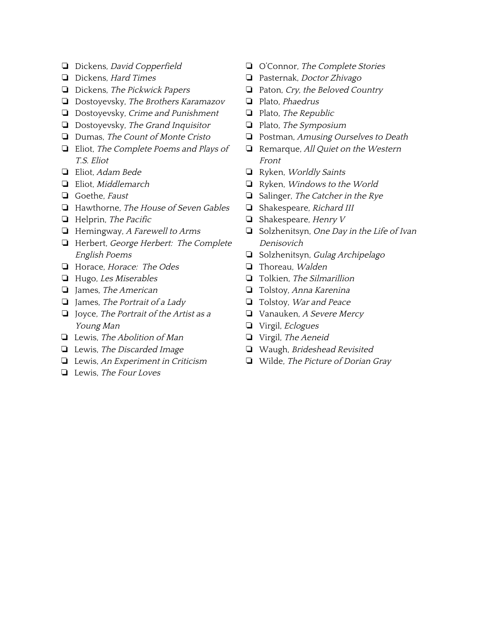- ❏ Dickens, David Copperfield
- ❏ Dickens, Hard Times
- ❏ Dickens, The Pickwick Papers
- ❏ Dostoyevsky, The Brothers Karamazov
- ❏ Dostoyevsky, Crime and Punishment
- ❏ Dostoyevsky, The Grand Inquisitor
- ❏ Dumas, The Count of Monte Cristo
- ❏ Eliot, The Complete Poems and Plays of T.S. Eliot
- ❏ Eliot, Adam Bede
- ❏ Eliot, Middlemarch
- ❏ Goethe, Faust
- ❏ Hawthorne, The House of Seven Gables
- ❏ Helprin, The Pacific
- ❏ Hemingway, <sup>A</sup> Farewell to Arms
- ❏ Herbert, George Herbert: The Complete English Poems
- ❏ Horace, Horace: The Odes
- ❏ Hugo, Les Miserables
- ❏ James, The American
- ❏ James, The Portrait of <sup>a</sup> Lady
- ❏ Joyce, The Portrait of the Artist as <sup>a</sup> Young Man
- ❏ Lewis, The Abolition of Man
- ❏ Lewis, The Discarded Image
- ❏ Lewis, An Experiment in Criticism
- ❏ Lewis, The Four Loves
- ❏ O'Connor, The Complete Stories
- ❏ Pasternak, Doctor Zhivago
- ❏ Paton, Cry, the Beloved Country
- ❏ Plato, Phaedrus
- ❏ Plato, The Republic
- ❏ Plato, The Symposium
- ❏ Postman, Amusing Ourselves to Death
- ❏ Remarque, All Quiet on the Western Front
- ❏ Ryken, Worldly Saints
- ❏ Ryken, Windows to the World
- ❏ Salinger, The Catcher in the Rye
- ❏ Shakespeare, Richard III
- ❏ Shakespeare, Henry <sup>V</sup>
- ❏ Solzhenitsyn, One Day in the Life of Ivan Denisovich
- ❏ Solzhenitsyn, Gulag Archipelago
- ❏ Thoreau, Walden
- ❏ Tolkien, The Silmarillion
- ❏ Tolstoy, Anna Karenina
- ❏ Tolstoy, War and Peace
- ❏ Vanauken, <sup>A</sup> Severe Mercy
- ❏ Virgil, Eclogues
- ❏ Virgil, The Aeneid
- ❏ Waugh, Brideshead Revisited
- ❏ Wilde, The Picture of Dorian Gray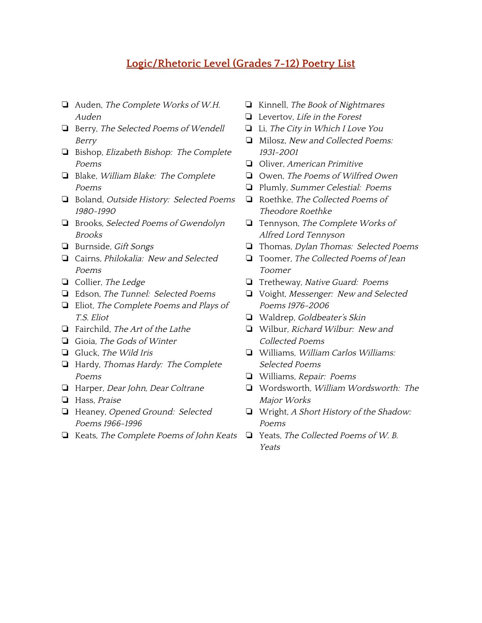# **Logic/Rhetoric Level (Grades 7-12) Poetry List**

- <span id="page-20-0"></span>❏ Auden, The Complete Works of W.H. Auden
- ❏ Berry, The Selected Poems of Wendell Berry
- ❏ Bishop, Elizabeth Bishop: The Complete Poems
- ❏ Blake, William Blake: The Complete Poems
- ❏ Boland, Outside History: Selected Poems 1980-1990
- ❏ Brooks, Selected Poems of Gwendolyn Brooks
- ❏ Burnside, Gift Songs
- ❏ Cairns, Philokalia: New and Selected Poems
- ❏ Collier, The Ledge
- ❏ Edson, The Tunnel: Selected Poems
- ❏ Eliot, The Complete Poems and Plays of T.S. Eliot
- ❏ Fairchild, The Art of the Lathe
- ❏ Gioia, The Gods of Winter
- ❏ Gluck, The Wild Iris
- ❏ Hardy, Thomas Hardy: The Complete Poems
- ❏ Harper, Dear John, Dear Coltrane
- ❏ Hass, Praise
- ❏ Heaney, Opened Ground: Selected Poems 1966-1996
- ❏ Keats, The Complete Poems of John Keats
- ❏ Kinnell, The Book of Nightmares
- ❏ Levertov, Life in the Forest
- ❏ Li, The City in Which <sup>I</sup> Love You
- ❏ Milosz, New and Collected Poems: 1931-2001
- ❏ Oliver, American Primitive
- ❏ Owen, The Poems of Wilfred Owen
- ❏ Plumly, Summer Celestial: Poems
- ❏ Roethke, The Collected Poems of Theodore Roethke
- ❏ Tennyson, The Complete Works of Alfred Lord Tennyson
- ❏ Thomas, Dylan Thomas: Selected Poems
- ❏ Toomer, The Collected Poems of Jean Toomer
- ❏ Tretheway, Native Guard: Poems
- ❏ Voight, Messenger: New and Selected Poems 1976-2006
- ❏ Waldrep, Goldbeater's Skin
- ❏ Wilbur, Richard Wilbur: New and Collected Poems
- ❏ Williams, William Carlos Williams: Selected Poems
- ❏ Williams, Repair: Poems
- ❏ Wordsworth, William Wordsworth: The Major Works
- ❏ Wright, <sup>A</sup> Short History of the Shadow: Poems
- ❏ Yeats, The Collected Poems of W. B. Yeats